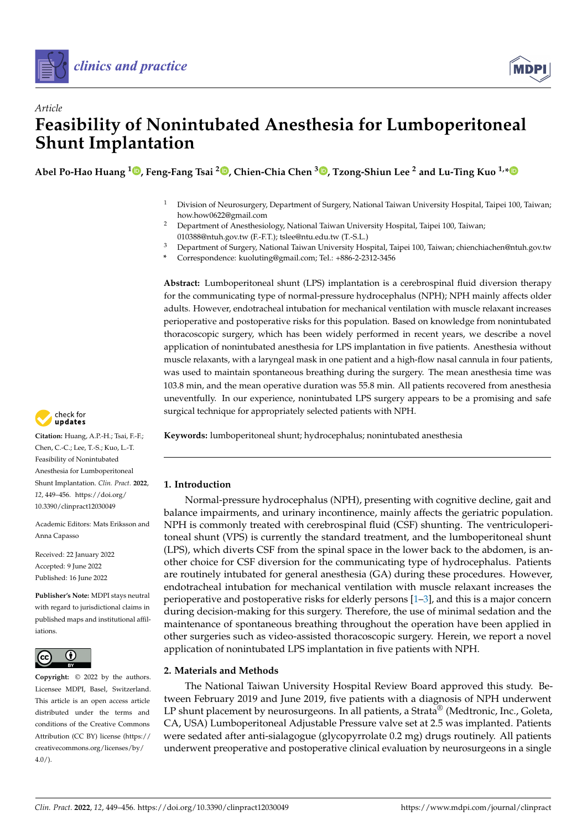



# *Article* **Feasibility of Nonintubated Anesthesia for Lumboperitoneal Shunt Implantation**

**Abel Po-Hao Huang <sup>1</sup> [,](https://orcid.org/0000-0002-5689-6761) Feng-Fang Tsai <sup>2</sup> [,](https://orcid.org/0000-0003-2390-3248) Chien-Chia Chen [3](https://orcid.org/0000-0002-1282-976X) , Tzong-Shiun Lee <sup>2</sup> and Lu-Ting Kuo 1,[\\*](https://orcid.org/0000-0002-1405-8700)**

- <sup>1</sup> Division of Neurosurgery, Department of Surgery, National Taiwan University Hospital, Taipei 100, Taiwan; how.how0622@gmail.com
- <sup>2</sup> Department of Anesthesiology, National Taiwan University Hospital, Taipei 100, Taiwan; 010388@ntuh.gov.tw (F.-F.T.); tslee@ntu.edu.tw (T.-S.L.)
- <sup>3</sup> Department of Surgery, National Taiwan University Hospital, Taipei 100, Taiwan; chienchiachen@ntuh.gov.tw
- **\*** Correspondence: kuoluting@gmail.com; Tel.: +886-2-2312-3456

**Abstract:** Lumboperitoneal shunt (LPS) implantation is a cerebrospinal fluid diversion therapy for the communicating type of normal-pressure hydrocephalus (NPH); NPH mainly affects older adults. However, endotracheal intubation for mechanical ventilation with muscle relaxant increases perioperative and postoperative risks for this population. Based on knowledge from nonintubated thoracoscopic surgery, which has been widely performed in recent years, we describe a novel application of nonintubated anesthesia for LPS implantation in five patients. Anesthesia without muscle relaxants, with a laryngeal mask in one patient and a high-flow nasal cannula in four patients, was used to maintain spontaneous breathing during the surgery. The mean anesthesia time was 103.8 min, and the mean operative duration was 55.8 min. All patients recovered from anesthesia uneventfully. In our experience, nonintubated LPS surgery appears to be a promising and safe surgical technique for appropriately selected patients with NPH.

**Keywords:** lumboperitoneal shunt; hydrocephalus; nonintubated anesthesia

### **1. Introduction**

Normal-pressure hydrocephalus (NPH), presenting with cognitive decline, gait and balance impairments, and urinary incontinence, mainly affects the geriatric population. NPH is commonly treated with cerebrospinal fluid (CSF) shunting. The ventriculoperitoneal shunt (VPS) is currently the standard treatment, and the lumboperitoneal shunt (LPS), which diverts CSF from the spinal space in the lower back to the abdomen, is another choice for CSF diversion for the communicating type of hydrocephalus. Patients are routinely intubated for general anesthesia (GA) during these procedures. However, endotracheal intubation for mechanical ventilation with muscle relaxant increases the perioperative and postoperative risks for elderly persons [\[1–](#page-6-0)[3\]](#page-6-1), and this is a major concern during decision-making for this surgery. Therefore, the use of minimal sedation and the maintenance of spontaneous breathing throughout the operation have been applied in other surgeries such as video-assisted thoracoscopic surgery. Herein, we report a novel application of nonintubated LPS implantation in five patients with NPH.

### **2. Materials and Methods**

The National Taiwan University Hospital Review Board approved this study. Between February 2019 and June 2019, five patients with a diagnosis of NPH underwent LP shunt placement by neurosurgeons. In all patients, a Strata<sup>®</sup> (Medtronic, Inc., Goleta, CA, USA) Lumboperitoneal Adjustable Pressure valve set at 2.5 was implanted. Patients were sedated after anti-sialagogue (glycopyrrolate 0.2 mg) drugs routinely. All patients underwent preoperative and postoperative clinical evaluation by neurosurgeons in a single



**Citation:** Huang, A.P.-H.; Tsai, F.-F.; Chen, C.-C.; Lee, T.-S.; Kuo, L.-T. Feasibility of Nonintubated Anesthesia for Lumboperitoneal Shunt Implantation. *Clin. Pract.* **2022**, *12*, 449–456. [https://doi.org/](https://doi.org/10.3390/clinpract12030049) [10.3390/clinpract12030049](https://doi.org/10.3390/clinpract12030049)

Academic Editors: Mats Eriksson and Anna Capasso

Received: 22 January 2022 Accepted: 9 June 2022 Published: 16 June 2022

**Publisher's Note:** MDPI stays neutral with regard to jurisdictional claims in published maps and institutional affiliations.



**Copyright:** © 2022 by the authors. Licensee MDPI, Basel, Switzerland. This article is an open access article distributed under the terms and conditions of the Creative Commons Attribution (CC BY) license [\(https://](https://creativecommons.org/licenses/by/4.0/) [creativecommons.org/licenses/by/](https://creativecommons.org/licenses/by/4.0/)  $4.0/$ ).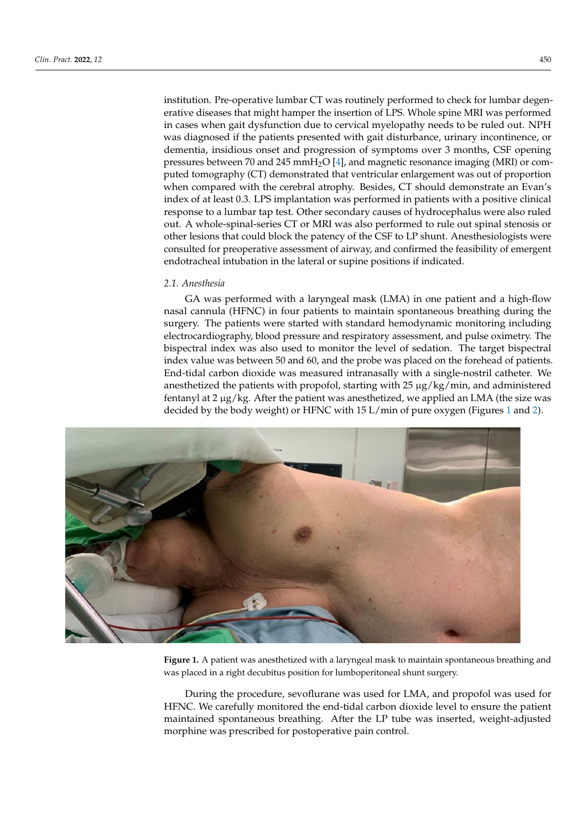institution. Pre-operative lumbar CT was routinely performed to check for lumbar degenerative diseases that might hamper the insertion of LPS. Whole spine MRI was performed in cases when gait dysfunction due to cervical myelopathy needs to be ruled out. NPH was diagnosed if the patients presented with gait disturbance, urinary incontinence, or dementia, insidious onset and progression of symptoms over 3 months, CSF opening<br>clinical response to a lumbar tap test. Other secondary causes of the cause pressures between 70 and 245 mmH<sub>2</sub>O [\[4\]](#page-6-2), and magnetic resonance imaging (MRI) or computed tomography (CT) demonstrated that ventricular enlargement was out of proportion<br>
and the patency of the patency of the CT-1 shunt. And the patency of the CT-1 shunt. And the CT-1 shunter of when compared with the cerebral atrophy. Besides, CT should demonstrate an Evan's<br>index of colorado 2.1 PC incolarative assessment was directive assistment the continuality of index of at least 0.3. LPS implantation was performed in patients with a positive clinical<br>examples to a lumbation in the lateral or supporting process of hydrogenholics were also with a response to a lumbar tap test. Other secondary causes of hydrocephalus were also ruled out. A whole-spinal-series CT or MRI was also performed to rule out spinal stenosis or out. *A* whole-sphila-series CT of MKI was also performed to full our spinal steriosis of other lesions that could block the patency of the CSF to LP shunt. Anesthesiologists were consulted for preoperative assessment of airway, and confirmed the feasibility of emergent endotracheal intubation in the lateral or supine positions if indicated. or dementia, insidious onset and progression of symptoms over 3 months, CSF opening prestitution. Pre-operative fullibar CT was fourtherly performed to check for fullibar degen-The patients were started with standard hemodynamic monitoring including electrocar-

### **2.1.** Anesthesia **diography, blood pressure and respiratory assessment, and pulse of and pulse of and pulse of and pulse of and pulse of and pulse of and pulse of and pulse of and pulse of and pulse of and pulse of and pu**

GA was performed with a laryngeal mask (LMA) in one patient and a high-flow nasal cannula (HFNC) in four patients to maintain spontaneous breathing during the surgery. The patients were started with standard hemodynamic monitoring including electrocardiography, blood pressure and respiratory assessment, and pulse oximetry. The bispectral index was also used to monitor the level of sedation. The target bispectral index value was between 50 and 60, and the probe was placed on the forehead of patients. End-tidal carbon dioxide was measured intranasally with a single-nostril catheter. We anesthetized the patients with propofol, starting with 25 µg/kg/min, and administered fentanyl at 2 μg/kg. After the patient was anesthetized, we applied an LMA (the size was decided by the body weight) or HFNC with [1](#page-1-0)5 L/min of pure oxygen (Figures 1 and [2\)](#page-2-0).

<span id="page-1-0"></span>

**Figure 1.** A patient was anesthetized with a laryngeal mask to maintain spontaneous breathing and **Figure 1.** A patient was anesthetized with a laryngeal mask to maintain spontaneous breathing and was placed in a right decubitus position for lumboperitoneal shunt surgery. was placed in a right decubitus position for lumboperitoneal shunt surgery.

During the procedure, sevoflurane was used for LMA, and propofol was used for HFNC. We carefully monitored the end-tidal carbon dioxide level to ensure the patient maintained spontaneous breathing. After the LP tube was inserted, weight-adjusted morphine was prescribed for postoperative pain control.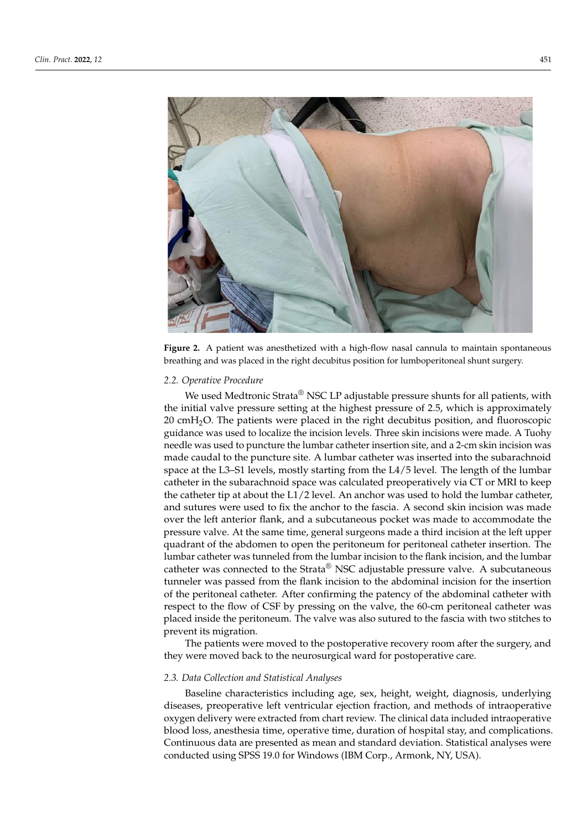<span id="page-2-0"></span>

**Figure 2.** A patient was anesthetized with a high-flow nasal cannula to maintain spontaneous **Figure 2.** A patient was anesthetized with a high-flow nasal cannula to maintain spontaneous breathing and was placed in the right decubitus position for lumboperitoneal shunt surgery. breathing and was placed in the right decubitus position for lumboperitoneal shunt surgery.

## *2.2. Operative Procedure 2.2. Operative Procedure*

We used Medtronic Strata® NSC LP adjustable pressure shunts for all patients, with the initial valve pressure setting at the highest pressure of 2.5, which is approximately 20 cmH<sub>2</sub>O. The patients were placed in the right decubitus position, and fluoroscopic guidance was used to localize the incision levels. Three skin incisions were made. A Tuohy needle was used to puncture the lumbar catheter insertion site, and a 2-cm skin incision needle was used to puncture the lumbar catheter insertion site, and a 2-cm skin incision was made caudal to the puncture site. A lumbar catheter was inserted into the subarachnoid noid space at the L3–S1 levels, mostly starting from the L4/5 level. The length of the lum-space at the L3–S1 levels, mostly starting from the L4/5 level. The length of the lumbar bar catheter in the subarachnoid space was calculated preoperatively via CT or MRI to catheter in the subarachnoid space was calculated preoperatively via CT or MRI to keep keep the catheter tip at about the L1/2 level. An anchor was used to hold the lumbar cath-the catheter tip at about the L1/2 level. An anchor was used to hold the lumbar catheter, and sutures were used to fix the anchor to the fascia. A second skin incision was made ma surface were used to fix the anchor to the flasch, and second sub-interstormation was made over the left anterior flank, and a subcutaneous pocket was made to accommodate the pressure valve. At the same time, general surgeons made a third incision at the left upper quadrant of the abdomen to open the peritoneum for peritoneal catheter insertion. The lumbar catheter was tunneled from the lumbar incision to the flank incision, and the lumbar incision catheter was connected to the Strata<sup>®</sup> NSC adjustable pressure valve. A subcutaneous tunneler was passed from the flank incision to the abdominal incision for the insertion of the peritoneal catheter. After confirming the patency of the abdominal catheter with respect to the flow of CSF by pressing on the valve, the 60-cm peritoneal catheter was placed inside the peritoneum. The valve was also sutured to the fascia with two stitches to prevent its migration.

The patients were moved to the postoperative recovery room after the surgery, and they were moved back to the neurosurgical ward for postoperative care.

# Baseline characteristics including age, sex, height, weight, diagnosis, underlying dis-*2.3. Data Collection and Statistical Analyses*

Baseline characteristics including age, sex, height, weight, diagnosis, underlying diseases, preoperative left ventricular ejection fraction, and methods of intraoperative oxygen delivery were extracted from chart review. The clinical data included intraoperative blood loss, anesthesia time, operative time, duration of hospital stay, and complications. Continuous data are presented as mean and standard deviation. Statistical analyses were conducted using SPSS 19.0 for Windows (IBM Corp., Armonk, NY, USA).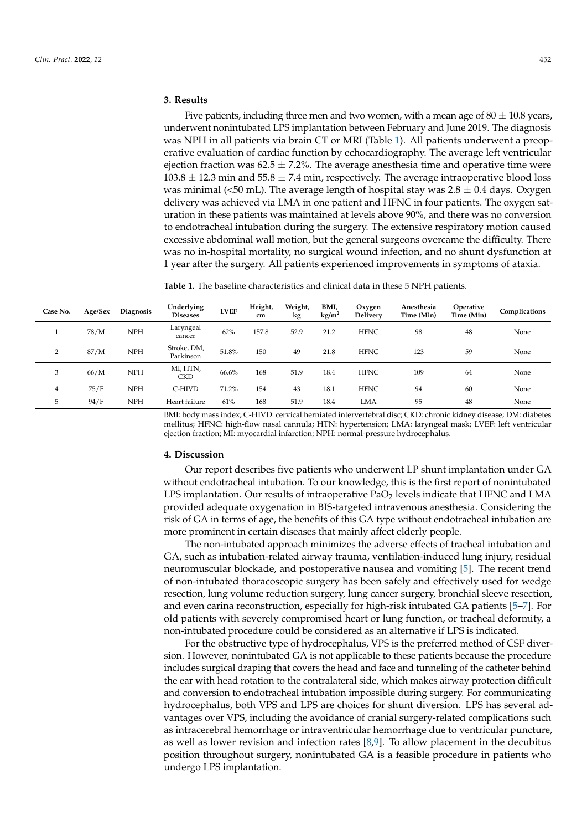### **3. Results**

Five patients, including three men and two women, with a mean age of  $80 \pm 10.8$  years, underwent nonintubated LPS implantation between February and June 2019. The diagnosis was NPH in all patients via brain CT or MRI (Table [1\)](#page-3-0). All patients underwent a preoperative evaluation of cardiac function by echocardiography. The average left ventricular ejection fraction was  $62.5 \pm 7.2$ %. The average anesthesia time and operative time were  $103.8 \pm 12.3$  min and  $55.8 \pm 7.4$  min, respectively. The average intraoperative blood loss was minimal (<50 mL). The average length of hospital stay was  $2.8 \pm 0.4$  days. Oxygen delivery was achieved via LMA in one patient and HFNC in four patients. The oxygen saturation in these patients was maintained at levels above 90%, and there was no conversion to endotracheal intubation during the surgery. The extensive respiratory motion caused excessive abdominal wall motion, but the general surgeons overcame the difficulty. There was no in-hospital mortality, no surgical wound infection, and no shunt dysfunction at 1 year after the surgery. All patients experienced improvements in symptoms of ataxia.

<span id="page-3-0"></span>**Table 1.** The baseline characteristics and clinical data in these 5 NPH patients.

| Case No.       | Age/Sex | Diagnosis  | Underlying<br><b>Diseases</b> | <b>LVEF</b> | Height,<br>cm | Weight,<br>kg | BMI,<br>kg/m <sup>2</sup> | Oxygen<br><b>Delivery</b> | Anesthesia<br>Time (Min) | Operative<br>Time (Min) | Complications |
|----------------|---------|------------|-------------------------------|-------------|---------------|---------------|---------------------------|---------------------------|--------------------------|-------------------------|---------------|
|                | 78/M    | <b>NPH</b> | Laryngeal<br>cancer           | 62%         | 157.8         | 52.9          | 21.2                      | <b>HFNC</b>               | 98                       | 48                      | None          |
| $\overline{2}$ | 87/M    | <b>NPH</b> | Stroke, DM,<br>Parkinson      | 51.8%       | 150           | 49            | 21.8                      | <b>HFNC</b>               | 123                      | 59                      | None          |
| 3              | 66/M    | <b>NPH</b> | MI, HTN,<br><b>CKD</b>        | 66.6%       | 168           | 51.9          | 18.4                      | <b>HFNC</b>               | 109                      | 64                      | None          |
| $\overline{4}$ | 75/F    | <b>NPH</b> | C-HIVD                        | 71.2%       | 154           | 43            | 18.1                      | <b>HFNC</b>               | 94                       | 60                      | None          |
| 5              | 94/F    | <b>NPH</b> | Heart failure                 | 61%         | 168           | 51.9          | 18.4                      | <b>LMA</b>                | 95                       | 48                      | None          |

BMI: body mass index; C-HIVD: cervical herniated intervertebral disc; CKD: chronic kidney disease; DM: diabetes mellitus; HFNC: high-flow nasal cannula; HTN: hypertension; LMA: laryngeal mask; LVEF: left ventricular ejection fraction; MI: myocardial infarction; NPH: normal-pressure hydrocephalus.

### **4. Discussion**

Our report describes five patients who underwent LP shunt implantation under GA without endotracheal intubation. To our knowledge, this is the first report of nonintubated LPS implantation. Our results of intraoperative  $PaO<sub>2</sub>$  levels indicate that HFNC and LMA provided adequate oxygenation in BIS-targeted intravenous anesthesia. Considering the risk of GA in terms of age, the benefits of this GA type without endotracheal intubation are more prominent in certain diseases that mainly affect elderly people.

The non-intubated approach minimizes the adverse effects of tracheal intubation and GA, such as intubation-related airway trauma, ventilation-induced lung injury, residual neuromuscular blockade, and postoperative nausea and vomiting [\[5\]](#page-6-3). The recent trend of non-intubated thoracoscopic surgery has been safely and effectively used for wedge resection, lung volume reduction surgery, lung cancer surgery, bronchial sleeve resection, and even carina reconstruction, especially for high-risk intubated GA patients [\[5](#page-6-3)[–7\]](#page-6-4). For old patients with severely compromised heart or lung function, or tracheal deformity, a non-intubated procedure could be considered as an alternative if LPS is indicated.

For the obstructive type of hydrocephalus, VPS is the preferred method of CSF diversion. However, nonintubated GA is not applicable to these patients because the procedure includes surgical draping that covers the head and face and tunneling of the catheter behind the ear with head rotation to the contralateral side, which makes airway protection difficult and conversion to endotracheal intubation impossible during surgery. For communicating hydrocephalus, both VPS and LPS are choices for shunt diversion. LPS has several advantages over VPS, including the avoidance of cranial surgery-related complications such as intracerebral hemorrhage or intraventricular hemorrhage due to ventricular puncture, as well as lower revision and infection rates  $[8,9]$  $[8,9]$ . To allow placement in the decubitus position throughout surgery, nonintubated GA is a feasible procedure in patients who undergo LPS implantation.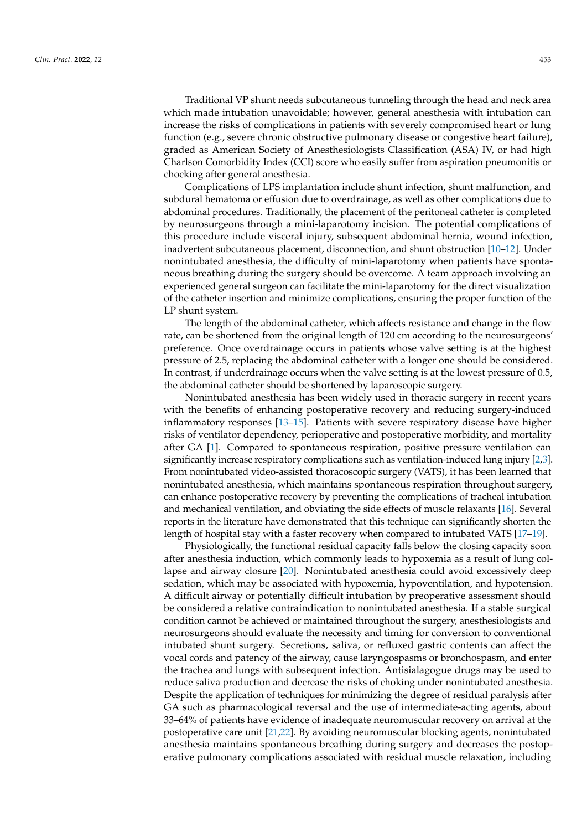Traditional VP shunt needs subcutaneous tunneling through the head and neck area which made intubation unavoidable; however, general anesthesia with intubation can increase the risks of complications in patients with severely compromised heart or lung function (e.g., severe chronic obstructive pulmonary disease or congestive heart failure), graded as American Society of Anesthesiologists Classification (ASA) IV, or had high Charlson Comorbidity Index (CCI) score who easily suffer from aspiration pneumonitis or chocking after general anesthesia.

Complications of LPS implantation include shunt infection, shunt malfunction, and subdural hematoma or effusion due to overdrainage, as well as other complications due to abdominal procedures. Traditionally, the placement of the peritoneal catheter is completed by neurosurgeons through a mini-laparotomy incision. The potential complications of this procedure include visceral injury, subsequent abdominal hernia, wound infection, inadvertent subcutaneous placement, disconnection, and shunt obstruction [\[10–](#page-6-7)[12\]](#page-6-8). Under nonintubated anesthesia, the difficulty of mini-laparotomy when patients have spontaneous breathing during the surgery should be overcome. A team approach involving an experienced general surgeon can facilitate the mini-laparotomy for the direct visualization of the catheter insertion and minimize complications, ensuring the proper function of the LP shunt system.

The length of the abdominal catheter, which affects resistance and change in the flow rate, can be shortened from the original length of 120 cm according to the neurosurgeons' preference. Once overdrainage occurs in patients whose valve setting is at the highest pressure of 2.5, replacing the abdominal catheter with a longer one should be considered. In contrast, if underdrainage occurs when the valve setting is at the lowest pressure of 0.5, the abdominal catheter should be shortened by laparoscopic surgery.

Nonintubated anesthesia has been widely used in thoracic surgery in recent years with the benefits of enhancing postoperative recovery and reducing surgery-induced inflammatory responses [\[13–](#page-6-9)[15\]](#page-7-0). Patients with severe respiratory disease have higher risks of ventilator dependency, perioperative and postoperative morbidity, and mortality after GA [\[1\]](#page-6-0). Compared to spontaneous respiration, positive pressure ventilation can significantly increase respiratory complications such as ventilation-induced lung injury [\[2](#page-6-10)[,3\]](#page-6-1). From nonintubated video-assisted thoracoscopic surgery (VATS), it has been learned that nonintubated anesthesia, which maintains spontaneous respiration throughout surgery, can enhance postoperative recovery by preventing the complications of tracheal intubation and mechanical ventilation, and obviating the side effects of muscle relaxants [\[16\]](#page-7-1). Several reports in the literature have demonstrated that this technique can significantly shorten the length of hospital stay with a faster recovery when compared to intubated VATS [\[17–](#page-7-2)[19\]](#page-7-3).

Physiologically, the functional residual capacity falls below the closing capacity soon after anesthesia induction, which commonly leads to hypoxemia as a result of lung collapse and airway closure [\[20\]](#page-7-4). Nonintubated anesthesia could avoid excessively deep sedation, which may be associated with hypoxemia, hypoventilation, and hypotension. A difficult airway or potentially difficult intubation by preoperative assessment should be considered a relative contraindication to nonintubated anesthesia. If a stable surgical condition cannot be achieved or maintained throughout the surgery, anesthesiologists and neurosurgeons should evaluate the necessity and timing for conversion to conventional intubated shunt surgery. Secretions, saliva, or refluxed gastric contents can affect the vocal cords and patency of the airway, cause laryngospasms or bronchospasm, and enter the trachea and lungs with subsequent infection. Antisialagogue drugs may be used to reduce saliva production and decrease the risks of choking under nonintubated anesthesia. Despite the application of techniques for minimizing the degree of residual paralysis after GA such as pharmacological reversal and the use of intermediate-acting agents, about 33–64% of patients have evidence of inadequate neuromuscular recovery on arrival at the postoperative care unit [\[21,](#page-7-5)[22\]](#page-7-6). By avoiding neuromuscular blocking agents, nonintubated anesthesia maintains spontaneous breathing during surgery and decreases the postoperative pulmonary complications associated with residual muscle relaxation, including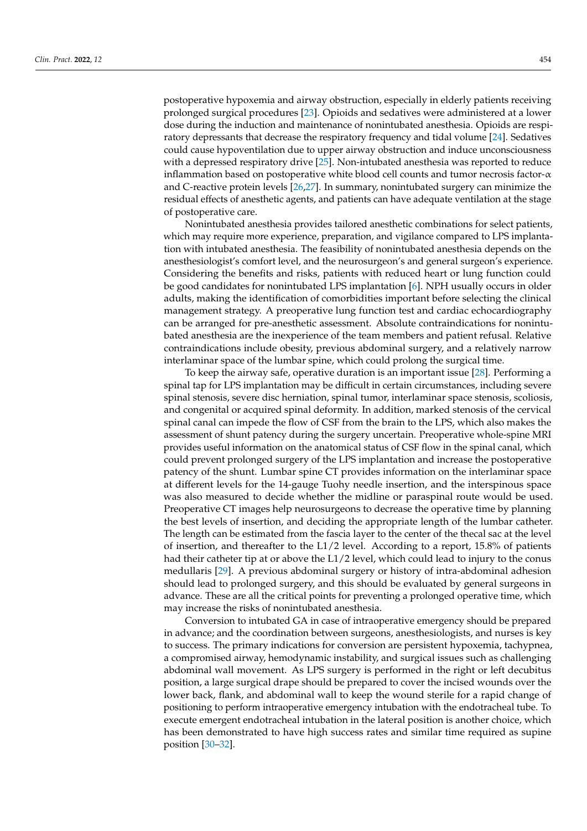postoperative hypoxemia and airway obstruction, especially in elderly patients receiving prolonged surgical procedures [\[23\]](#page-7-7). Opioids and sedatives were administered at a lower dose during the induction and maintenance of nonintubated anesthesia. Opioids are respiratory depressants that decrease the respiratory frequency and tidal volume [\[24\]](#page-7-8). Sedatives could cause hypoventilation due to upper airway obstruction and induce unconsciousness with a depressed respiratory drive [\[25\]](#page-7-9). Non-intubated anesthesia was reported to reduce inflammation based on postoperative white blood cell counts and tumor necrosis factor-α and C-reactive protein levels [\[26,](#page-7-10)[27\]](#page-7-11). In summary, nonintubated surgery can minimize the residual effects of anesthetic agents, and patients can have adequate ventilation at the stage of postoperative care.

Nonintubated anesthesia provides tailored anesthetic combinations for select patients, which may require more experience, preparation, and vigilance compared to LPS implantation with intubated anesthesia. The feasibility of nonintubated anesthesia depends on the anesthesiologist's comfort level, and the neurosurgeon's and general surgeon's experience. Considering the benefits and risks, patients with reduced heart or lung function could be good candidates for nonintubated LPS implantation [\[6\]](#page-6-11). NPH usually occurs in older adults, making the identification of comorbidities important before selecting the clinical management strategy. A preoperative lung function test and cardiac echocardiography can be arranged for pre-anesthetic assessment. Absolute contraindications for nonintubated anesthesia are the inexperience of the team members and patient refusal. Relative contraindications include obesity, previous abdominal surgery, and a relatively narrow interlaminar space of the lumbar spine, which could prolong the surgical time.

To keep the airway safe, operative duration is an important issue [\[28\]](#page-7-12). Performing a spinal tap for LPS implantation may be difficult in certain circumstances, including severe spinal stenosis, severe disc herniation, spinal tumor, interlaminar space stenosis, scoliosis, and congenital or acquired spinal deformity. In addition, marked stenosis of the cervical spinal canal can impede the flow of CSF from the brain to the LPS, which also makes the assessment of shunt patency during the surgery uncertain. Preoperative whole-spine MRI provides useful information on the anatomical status of CSF flow in the spinal canal, which could prevent prolonged surgery of the LPS implantation and increase the postoperative patency of the shunt. Lumbar spine CT provides information on the interlaminar space at different levels for the 14-gauge Tuohy needle insertion, and the interspinous space was also measured to decide whether the midline or paraspinal route would be used. Preoperative CT images help neurosurgeons to decrease the operative time by planning the best levels of insertion, and deciding the appropriate length of the lumbar catheter. The length can be estimated from the fascia layer to the center of the thecal sac at the level of insertion, and thereafter to the L1/2 level. According to a report, 15.8% of patients had their catheter tip at or above the L1/2 level, which could lead to injury to the conus medullaris [\[29\]](#page-7-13). A previous abdominal surgery or history of intra-abdominal adhesion should lead to prolonged surgery, and this should be evaluated by general surgeons in advance. These are all the critical points for preventing a prolonged operative time, which may increase the risks of nonintubated anesthesia.

Conversion to intubated GA in case of intraoperative emergency should be prepared in advance; and the coordination between surgeons, anesthesiologists, and nurses is key to success. The primary indications for conversion are persistent hypoxemia, tachypnea, a compromised airway, hemodynamic instability, and surgical issues such as challenging abdominal wall movement. As LPS surgery is performed in the right or left decubitus position, a large surgical drape should be prepared to cover the incised wounds over the lower back, flank, and abdominal wall to keep the wound sterile for a rapid change of positioning to perform intraoperative emergency intubation with the endotracheal tube. To execute emergent endotracheal intubation in the lateral position is another choice, which has been demonstrated to have high success rates and similar time required as supine position [\[30–](#page-7-14)[32\]](#page-7-15).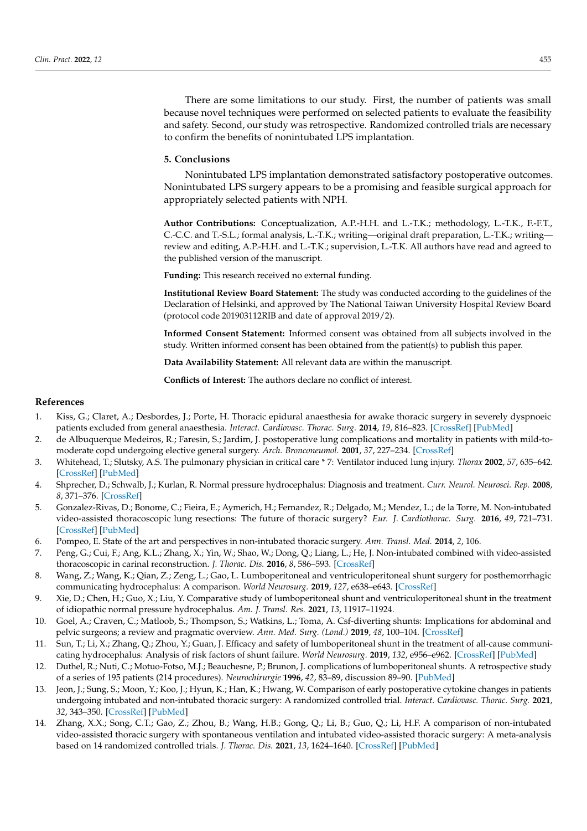There are some limitations to our study. First, the number of patients was small because novel techniques were performed on selected patients to evaluate the feasibility and safety. Second, our study was retrospective. Randomized controlled trials are necessary to confirm the benefits of nonintubated LPS implantation.

### **5. Conclusions**

Nonintubated LPS implantation demonstrated satisfactory postoperative outcomes. Nonintubated LPS surgery appears to be a promising and feasible surgical approach for appropriately selected patients with NPH.

**Author Contributions:** Conceptualization, A.P.-H.H. and L.-T.K.; methodology, L.-T.K., F.-F.T., C.-C.C. and T.-S.L.; formal analysis, L.-T.K.; writing—original draft preparation, L.-T.K.; writing review and editing, A.P.-H.H. and L.-T.K.; supervision, L.-T.K. All authors have read and agreed to the published version of the manuscript.

**Funding:** This research received no external funding.

**Institutional Review Board Statement:** The study was conducted according to the guidelines of the Declaration of Helsinki, and approved by The National Taiwan University Hospital Review Board (protocol code 201903112RIB and date of approval 2019/2).

**Informed Consent Statement:** Informed consent was obtained from all subjects involved in the study. Written informed consent has been obtained from the patient(s) to publish this paper.

**Data Availability Statement:** All relevant data are within the manuscript.

**Conflicts of Interest:** The authors declare no conflict of interest.

### **References**

- <span id="page-6-0"></span>1. Kiss, G.; Claret, A.; Desbordes, J.; Porte, H. Thoracic epidural anaesthesia for awake thoracic surgery in severely dyspnoeic patients excluded from general anaesthesia. *Interact. Cardiovasc. Thorac. Surg.* **2014**, *19*, 816–823. [\[CrossRef\]](http://doi.org/10.1093/icvts/ivu230) [\[PubMed\]](http://www.ncbi.nlm.nih.gov/pubmed/25035439)
- <span id="page-6-10"></span>2. de Albuquerque Medeiros, R.; Faresin, S.; Jardim, J. postoperative lung complications and mortality in patients with mild-tomoderate copd undergoing elective general surgery. *Arch. Bronconeumol.* **2001**, *37*, 227–234. [\[CrossRef\]](http://doi.org/10.1016/S0300-2896(01)75059-4)
- <span id="page-6-1"></span>3. Whitehead, T.; Slutsky, A.S. The pulmonary physician in critical care \* 7: Ventilator induced lung injury. *Thorax* **2002**, *57*, 635–642. [\[CrossRef\]](http://doi.org/10.1136/thorax.57.7.635) [\[PubMed\]](http://www.ncbi.nlm.nih.gov/pubmed/12096209)
- <span id="page-6-2"></span>4. Shprecher, D.; Schwalb, J.; Kurlan, R. Normal pressure hydrocephalus: Diagnosis and treatment. *Curr. Neurol. Neurosci. Rep.* **2008**, *8*, 371–376. [\[CrossRef\]](http://doi.org/10.1007/s11910-008-0058-2)
- <span id="page-6-3"></span>5. Gonzalez-Rivas, D.; Bonome, C.; Fieira, E.; Aymerich, H.; Fernandez, R.; Delgado, M.; Mendez, L.; de la Torre, M. Non-intubated video-assisted thoracoscopic lung resections: The future of thoracic surgery? *Eur. J. Cardiothorac. Surg.* **2016**, *49*, 721–731. [\[CrossRef\]](http://doi.org/10.1093/ejcts/ezv136) [\[PubMed\]](http://www.ncbi.nlm.nih.gov/pubmed/25896196)
- <span id="page-6-11"></span>6. Pompeo, E. State of the art and perspectives in non-intubated thoracic surgery. *Ann. Transl. Med.* **2014**, *2*, 106.
- <span id="page-6-4"></span>7. Peng, G.; Cui, F.; Ang, K.L.; Zhang, X.; Yin, W.; Shao, W.; Dong, Q.; Liang, L.; He, J. Non-intubated combined with video-assisted thoracoscopic in carinal reconstruction. *J. Thorac. Dis.* **2016**, *8*, 586–593. [\[CrossRef\]](http://doi.org/10.21037/jtd.2016.01.58)
- <span id="page-6-5"></span>8. Wang, Z.; Wang, K.; Qian, Z.; Zeng, L.; Gao, L. Lumboperitoneal and ventriculoperitoneal shunt surgery for posthemorrhagic communicating hydrocephalus: A comparison. *World Neurosurg.* **2019**, *127*, e638–e643. [\[CrossRef\]](http://doi.org/10.1016/j.wneu.2019.03.235)
- <span id="page-6-6"></span>9. Xie, D.; Chen, H.; Guo, X.; Liu, Y. Comparative study of lumboperitoneal shunt and ventriculoperitoneal shunt in the treatment of idiopathic normal pressure hydrocephalus. *Am. J. Transl. Res.* **2021**, *13*, 11917–11924.
- <span id="page-6-7"></span>10. Goel, A.; Craven, C.; Matloob, S.; Thompson, S.; Watkins, L.; Toma, A. Csf-diverting shunts: Implications for abdominal and pelvic surgeons; a review and pragmatic overview. *Ann. Med. Surg. (Lond.)* **2019**, *48*, 100–104. [\[CrossRef\]](http://doi.org/10.1016/j.amsu.2019.10.033)
- 11. Sun, T.; Li, X.; Zhang, Q.; Zhou, Y.; Guan, J. Efficacy and safety of lumboperitoneal shunt in the treatment of all-cause communicating hydrocephalus: Analysis of risk factors of shunt failure. *World Neurosurg.* **2019**, *132*, e956–e962. [\[CrossRef\]](http://doi.org/10.1016/j.wneu.2019.06.070) [\[PubMed\]](http://www.ncbi.nlm.nih.gov/pubmed/31226460)
- <span id="page-6-8"></span>12. Duthel, R.; Nuti, C.; Motuo-Fotso, M.J.; Beauchesne, P.; Brunon, J. complications of lumboperitoneal shunts. A retrospective study of a series of 195 patients (214 procedures). *Neurochirurgie* **1996**, *42*, 83–89, discussion 89–90. [\[PubMed\]](http://www.ncbi.nlm.nih.gov/pubmed/8952901)
- <span id="page-6-9"></span>13. Jeon, J.; Sung, S.; Moon, Y.; Koo, J.; Hyun, K.; Han, K.; Hwang, W. Comparison of early postoperative cytokine changes in patients undergoing intubated and non-intubated thoracic surgery: A randomized controlled trial. *Interact. Cardiovasc. Thorac. Surg.* **2021**, *32*, 343–350. [\[CrossRef\]](http://doi.org/10.1093/icvts/ivaa265) [\[PubMed\]](http://www.ncbi.nlm.nih.gov/pubmed/33831216)
- 14. Zhang, X.X.; Song, C.T.; Gao, Z.; Zhou, B.; Wang, H.B.; Gong, Q.; Li, B.; Guo, Q.; Li, H.F. A comparison of non-intubated video-assisted thoracic surgery with spontaneous ventilation and intubated video-assisted thoracic surgery: A meta-analysis based on 14 randomized controlled trials. *J. Thorac. Dis.* **2021**, *13*, 1624–1640. [\[CrossRef\]](http://doi.org/10.21037/jtd-20-3039) [\[PubMed\]](http://www.ncbi.nlm.nih.gov/pubmed/33841954)